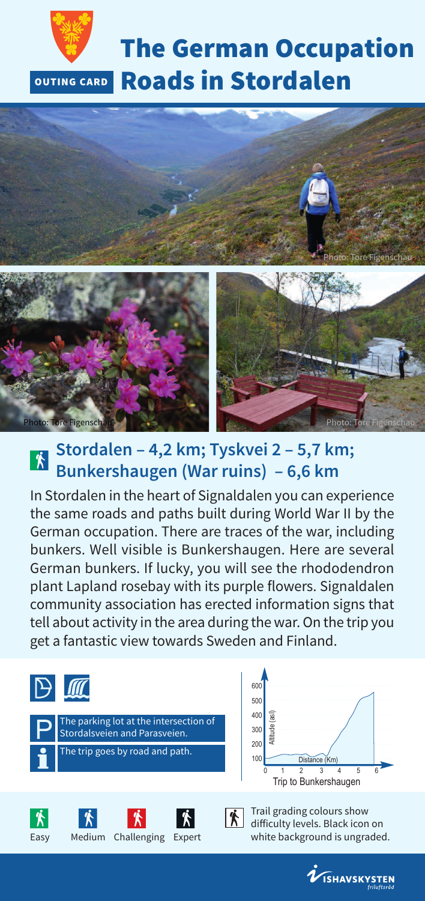



### **Stordalen – 4,2 km; Tyskvei 2 – 5,7 km;** 个 **Bunkershaugen (War ruins) – 6,6 km**

In Stordalen in the heart of Signaldalen you can experience the same roads and paths built during World War II by the German occupation. There are traces of the war, including bunkers. Well visible is Bunkershaugen. Here are several German bunkers. If lucky, you will see the rhododendron plant Lapland rosebay with its purple flowers. Signaldalen community association has erected information signs that tell about activity in the area during the war. On the trip you get a fantastic view towards Sweden and Finland.